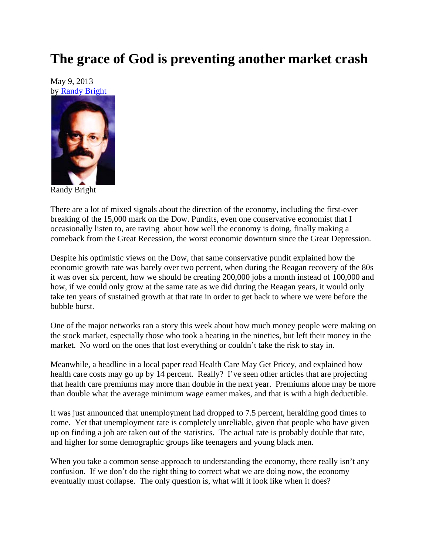## **The grace of God is preventing another market crash**

May 9, 2013 by Randy Bright



Randy Bright

There are a lot of mixed signals about the direction of the economy, including the first-ever breaking of the 15,000 mark on the Dow. Pundits, even one conservative economist that I occasionally listen to, are raving about how well the economy is doing, finally making a comeback from the Great Recession, the worst economic downturn since the Great Depression.

Despite his optimistic views on the Dow, that same conservative pundit explained how the economic growth rate was barely over two percent, when during the Reagan recovery of the 80s it was over six percent, how we should be creating 200,000 jobs a month instead of 100,000 and how, if we could only grow at the same rate as we did during the Reagan years, it would only take ten years of sustained growth at that rate in order to get back to where we were before the bubble burst.

One of the major networks ran a story this week about how much money people were making on the stock market, especially those who took a beating in the nineties, but left their money in the market. No word on the ones that lost everything or couldn't take the risk to stay in.

Meanwhile, a headline in a local paper read Health Care May Get Pricey, and explained how health care costs may go up by 14 percent. Really? I've seen other articles that are projecting that health care premiums may more than double in the next year. Premiums alone may be more than double what the average minimum wage earner makes, and that is with a high deductible.

It was just announced that unemployment had dropped to 7.5 percent, heralding good times to come. Yet that unemployment rate is completely unreliable, given that people who have given up on finding a job are taken out of the statistics. The actual rate is probably double that rate, and higher for some demographic groups like teenagers and young black men.

When you take a common sense approach to understanding the economy, there really isn't any confusion. If we don't do the right thing to correct what we are doing now, the economy eventually must collapse. The only question is, what will it look like when it does?